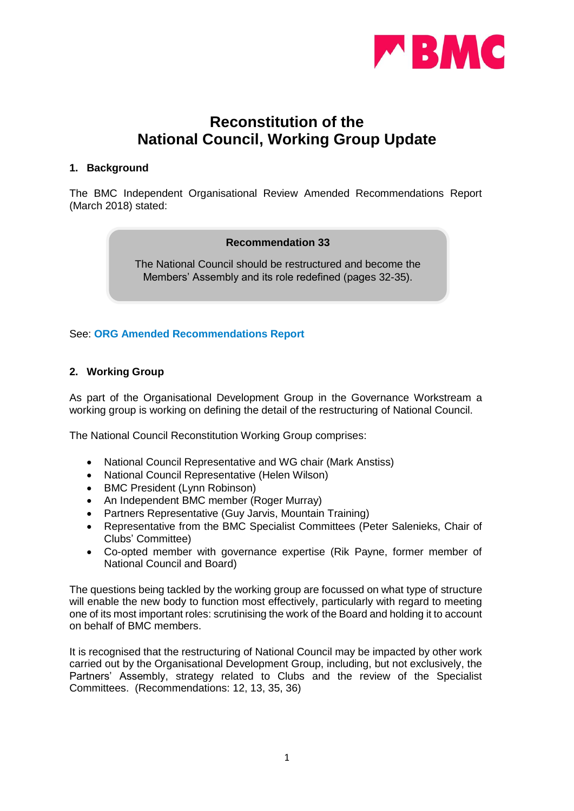

# **Reconstitution of the National Council, Working Group Update**

#### **1. Background**

The BMC Independent Organisational Review Amended Recommendations Report (March 2018) stated:

#### **Recommendation 33**

The National Council should be restructured and become the Members' Assembly and its role redefined (pages 32-35).

#### See: **[ORG Amended Recommendations Report](https://www.thebmc.co.uk/Handlers/DownloadHandler.ashx?id=1569)**

# **2. Working Group**

As part of the Organisational Development Group in the Governance Workstream a working group is working on defining the detail of the restructuring of National Council.

The National Council Reconstitution Working Group comprises:

- National Council Representative and WG chair (Mark Anstiss)
- National Council Representative (Helen Wilson)
- BMC President (Lynn Robinson)
- An Independent BMC member (Roger Murray)
- Partners Representative (Guy Jarvis, Mountain Training)
- Representative from the BMC Specialist Committees (Peter Salenieks, Chair of Clubs' Committee)
- Co-opted member with governance expertise (Rik Payne, former member of National Council and Board)

The questions being tackled by the working group are focussed on what type of structure will enable the new body to function most effectively, particularly with regard to meeting one of its most important roles: scrutinising the work of the Board and holding it to account on behalf of BMC members.

It is recognised that the restructuring of National Council may be impacted by other work carried out by the Organisational Development Group, including, but not exclusively, the Partners' Assembly, strategy related to Clubs and the review of the Specialist Committees. (Recommendations: 12, 13, 35, 36)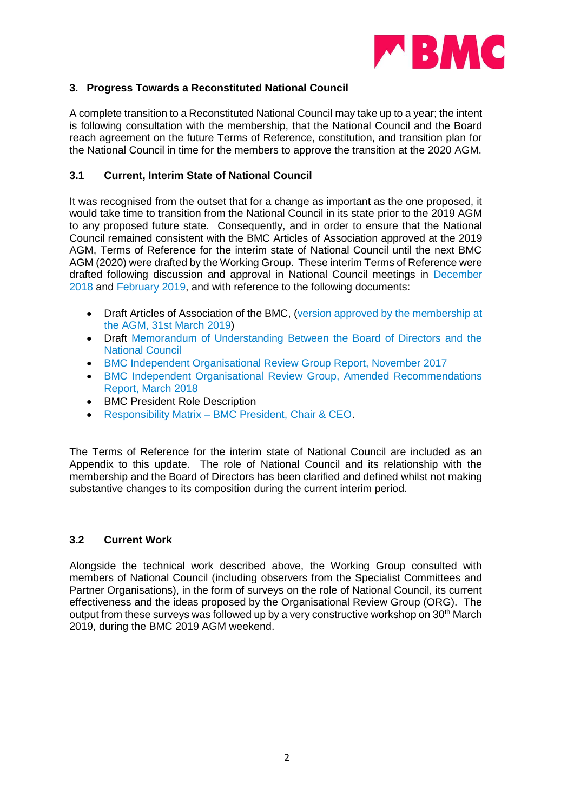

# **3. Progress Towards a Reconstituted National Council**

A complete transition to a Reconstituted National Council may take up to a year; the intent is following consultation with the membership, that the National Council and the Board reach agreement on the future Terms of Reference, constitution, and transition plan for the National Council in time for the members to approve the transition at the 2020 AGM.

# **3.1 Current, Interim State of National Council**

It was recognised from the outset that for a change as important as the one proposed, it would take time to transition from the National Council in its state prior to the 2019 AGM to any proposed future state. Consequently, and in order to ensure that the National Council remained consistent with the BMC Articles of Association approved at the 2019 AGM, Terms of Reference for the interim state of National Council until the next BMC AGM (2020) were drafted by the Working Group. These interim Terms of Reference were drafted following discussion and approval in National Council meetings in [December](https://www.thebmc.co.uk/Handlers/DownloadHandler.ashx?id=1720)  [2018](https://www.thebmc.co.uk/Handlers/DownloadHandler.ashx?id=1720) and [February 2019,](https://www.thebmc.co.uk/Handlers/DownloadHandler.ashx?id=1766) and with reference to the following documents:

- Draft Articles of Association of the BMC, (version approved by the membership at [the AGM, 31st March 2019\)](https://www.thebmc.co.uk/Handlers/DownloadHandler.ashx?id=1641)
- Draft [Memorandum of Understanding Between the Board of Directors and the](https://www.thebmc.co.uk/Handlers/DownloadHandler.ashx?id=1724)  [National Council](https://www.thebmc.co.uk/Handlers/DownloadHandler.ashx?id=1724)
- [BMC Independent Organisational Review Group Report, November 2017](https://www.thebmc.co.uk/media/files/BMC%20ORG%20Review%20Full%20Report.pdf)
- [BMC Independent Organisational Review Group, Amended Recommendations](https://www.thebmc.co.uk/Handlers/DownloadHandler.ashx?id=1569)  [Report, March 2018](https://www.thebmc.co.uk/Handlers/DownloadHandler.ashx?id=1569)
- BMC President Role Description
- Responsibility Matrix [BMC President, Chair & CEO.](https://www.thebmc.co.uk/Handlers/DownloadHandler.ashx?id=1695)

The Terms of Reference for the interim state of National Council are included as an Appendix to this update. The role of National Council and its relationship with the membership and the Board of Directors has been clarified and defined whilst not making substantive changes to its composition during the current interim period.

# **3.2 Current Work**

Alongside the technical work described above, the Working Group consulted with members of National Council (including observers from the Specialist Committees and Partner Organisations), in the form of surveys on the role of National Council, its current effectiveness and the ideas proposed by the Organisational Review Group (ORG). The output from these surveys was followed up by a very constructive workshop on 30<sup>th</sup> March 2019, during the BMC 2019 AGM weekend.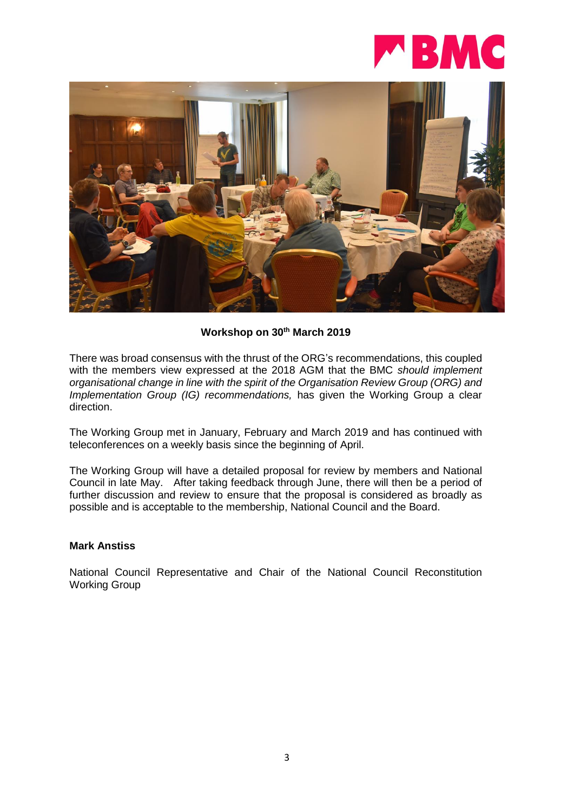

# **Workshop on 30th March 2019**

There was broad consensus with the thrust of the ORG's recommendations, this coupled with the members view expressed at the 2018 AGM that the BMC *should implement organisational change in line with the spirit of the Organisation Review Group (ORG) and Implementation Group (IG) recommendations, has given the Working Group a clear* direction.

The Working Group met in January, February and March 2019 and has continued with teleconferences on a weekly basis since the beginning of April.

The Working Group will have a detailed proposal for review by members and National Council in late May. After taking feedback through June, there will then be a period of further discussion and review to ensure that the proposal is considered as broadly as possible and is acceptable to the membership, National Council and the Board.

#### **Mark Anstiss**

National Council Representative and Chair of the National Council Reconstitution Working Group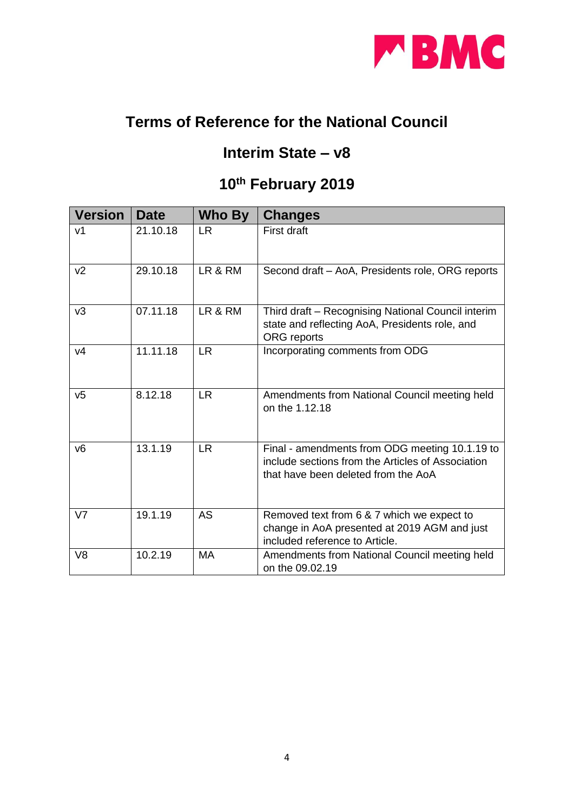

# **Terms of Reference for the National Council**

# **Interim State – v8**

# **10th February 2019**

| <b>Version</b> | <b>Date</b> | Who By    | <b>Changes</b>                                                                                                                             |
|----------------|-------------|-----------|--------------------------------------------------------------------------------------------------------------------------------------------|
| V <sub>1</sub> | 21.10.18    | <b>LR</b> | First draft                                                                                                                                |
| v <sub>2</sub> | 29.10.18    | LR & RM   | Second draft - AoA, Presidents role, ORG reports                                                                                           |
| v3             | 07.11.18    | LR & RM   | Third draft - Recognising National Council interim<br>state and reflecting AoA, Presidents role, and<br><b>ORG</b> reports                 |
| V <sub>4</sub> | 11.11.18    | <b>LR</b> | Incorporating comments from ODG                                                                                                            |
| V <sub>5</sub> | 8.12.18     | <b>LR</b> | Amendments from National Council meeting held<br>on the 1.12.18                                                                            |
| V <sub>6</sub> | 13.1.19     | <b>LR</b> | Final - amendments from ODG meeting 10.1.19 to<br>include sections from the Articles of Association<br>that have been deleted from the AoA |
| V7             | 19.1.19     | <b>AS</b> | Removed text from 6 & 7 which we expect to<br>change in AoA presented at 2019 AGM and just<br>included reference to Article.               |
| V <sub>8</sub> | 10.2.19     | <b>MA</b> | Amendments from National Council meeting held<br>on the 09.02.19                                                                           |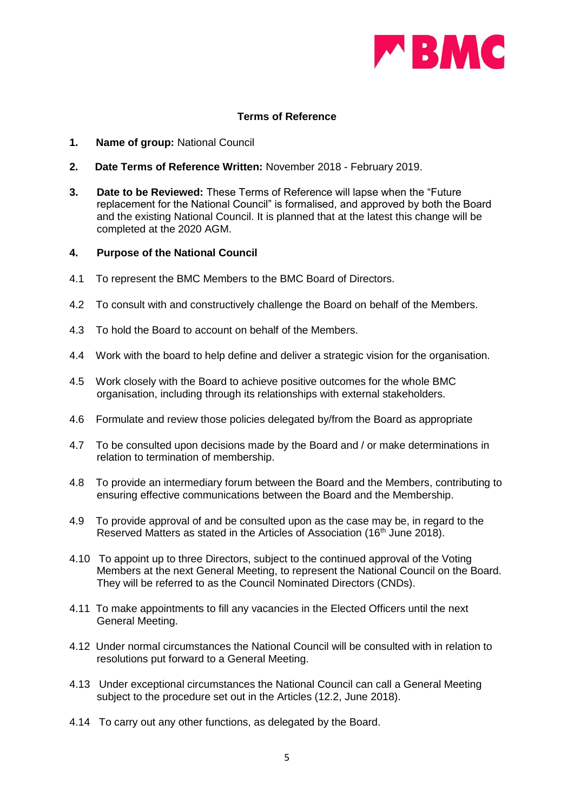

# **Terms of Reference**

- **1. Name of group:** National Council
- **2. Date Terms of Reference Written:** November 2018 February 2019.
- **3. Date to be Reviewed:** These Terms of Reference will lapse when the "Future replacement for the National Council" is formalised, and approved by both the Board and the existing National Council. It is planned that at the latest this change will be completed at the 2020 AGM.

#### **4. Purpose of the National Council**

- 4.1 To represent the BMC Members to the BMC Board of Directors.
- 4.2 To consult with and constructively challenge the Board on behalf of the Members.
- 4.3 To hold the Board to account on behalf of the Members.
- 4.4 Work with the board to help define and deliver a strategic vision for the organisation.
- 4.5 Work closely with the Board to achieve positive outcomes for the whole BMC organisation, including through its relationships with external stakeholders.
- 4.6 Formulate and review those policies delegated by/from the Board as appropriate
- 4.7 To be consulted upon decisions made by the Board and / or make determinations in relation to termination of membership.
- 4.8 To provide an intermediary forum between the Board and the Members, contributing to ensuring effective communications between the Board and the Membership.
- 4.9 To provide approval of and be consulted upon as the case may be, in regard to the Reserved Matters as stated in the Articles of Association (16<sup>th</sup> June 2018).
- 4.10 To appoint up to three Directors, subject to the continued approval of the Voting Members at the next General Meeting, to represent the National Council on the Board. They will be referred to as the Council Nominated Directors (CNDs).
- 4.11 To make appointments to fill any vacancies in the Elected Officers until the next General Meeting.
- 4.12 Under normal circumstances the National Council will be consulted with in relation to resolutions put forward to a General Meeting.
- 4.13 Under exceptional circumstances the National Council can call a General Meeting subject to the procedure set out in the Articles (12.2, June 2018).
- 4.14 To carry out any other functions, as delegated by the Board.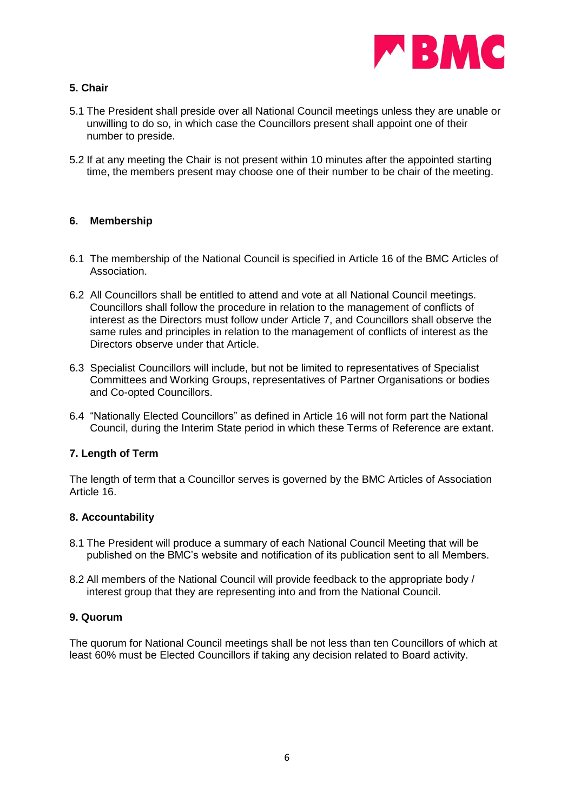

# **5. Chair**

- 5.1 The President shall preside over all National Council meetings unless they are unable or unwilling to do so, in which case the Councillors present shall appoint one of their number to preside.
- 5.2 If at any meeting the Chair is not present within 10 minutes after the appointed starting time, the members present may choose one of their number to be chair of the meeting.

# **6. Membership**

- 6.1 The membership of the National Council is specified in Article 16 of the BMC Articles of Association.
- 6.2 All Councillors shall be entitled to attend and vote at all National Council meetings. Councillors shall follow the procedure in relation to the management of conflicts of interest as the Directors must follow under Article 7, and Councillors shall observe the same rules and principles in relation to the management of conflicts of interest as the Directors observe under that Article.
- 6.3 Specialist Councillors will include, but not be limited to representatives of Specialist Committees and Working Groups, representatives of Partner Organisations or bodies and Co-opted Councillors.
- 6.4 "Nationally Elected Councillors" as defined in Article 16 will not form part the National Council, during the Interim State period in which these Terms of Reference are extant.

# **7. Length of Term**

The length of term that a Councillor serves is governed by the BMC Articles of Association Article 16.

#### **8. Accountability**

- 8.1 The President will produce a summary of each National Council Meeting that will be published on the BMC's website and notification of its publication sent to all Members.
- 8.2 All members of the National Council will provide feedback to the appropriate body / interest group that they are representing into and from the National Council.

#### **9. Quorum**

The quorum for National Council meetings shall be not less than ten Councillors of which at least 60% must be Elected Councillors if taking any decision related to Board activity.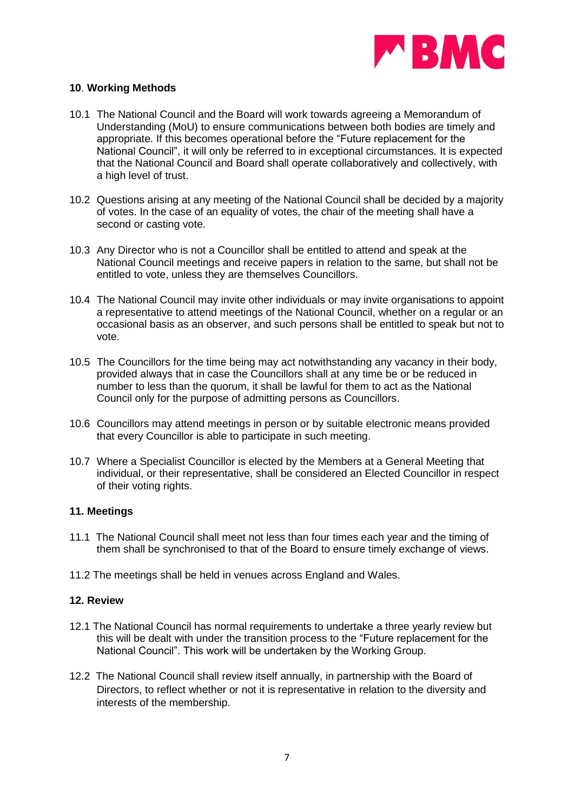

## **10**. **Working Methods**

- 10.1 The National Council and the Board will work towards agreeing a Memorandum of Understanding (MoU) to ensure communications between both bodies are timely and appropriate. If this becomes operational before the "Future replacement for the National Council", it will only be referred to in exceptional circumstances*.* It is expected that the National Council and Board shall operate collaboratively and collectively, with a high level of trust.
- 10.2 Questions arising at any meeting of the National Council shall be decided by a majority of votes. In the case of an equality of votes, the chair of the meeting shall have a second or casting vote.
- 10.3 Any Director who is not a Councillor shall be entitled to attend and speak at the National Council meetings and receive papers in relation to the same, but shall not be entitled to vote, unless they are themselves Councillors.
- 10.4 The National Council may invite other individuals or may invite organisations to appoint a representative to attend meetings of the National Council, whether on a regular or an occasional basis as an observer, and such persons shall be entitled to speak but not to vote.
- 10.5 The Councillors for the time being may act notwithstanding any vacancy in their body, provided always that in case the Councillors shall at any time be or be reduced in number to less than the quorum, it shall be lawful for them to act as the National Council only for the purpose of admitting persons as Councillors.
- 10.6 Councillors may attend meetings in person or by suitable electronic means provided that every Councillor is able to participate in such meeting.
- 10.7 Where a Specialist Councillor is elected by the Members at a General Meeting that individual, or their representative, shall be considered an Elected Councillor in respect of their voting rights.

#### **11. Meetings**

- 11.1 The National Council shall meet not less than four times each year and the timing of them shall be synchronised to that of the Board to ensure timely exchange of views.
- 11.2 The meetings shall be held in venues across England and Wales.

#### **12. Review**

- 12.1 The National Council has normal requirements to undertake a three yearly review but this will be dealt with under the transition process to the "Future replacement for the National Council". This work will be undertaken by the Working Group.
- 12.2 The National Council shall review itself annually, in partnership with the Board of Directors, to reflect whether or not it is representative in relation to the diversity and interests of the membership.